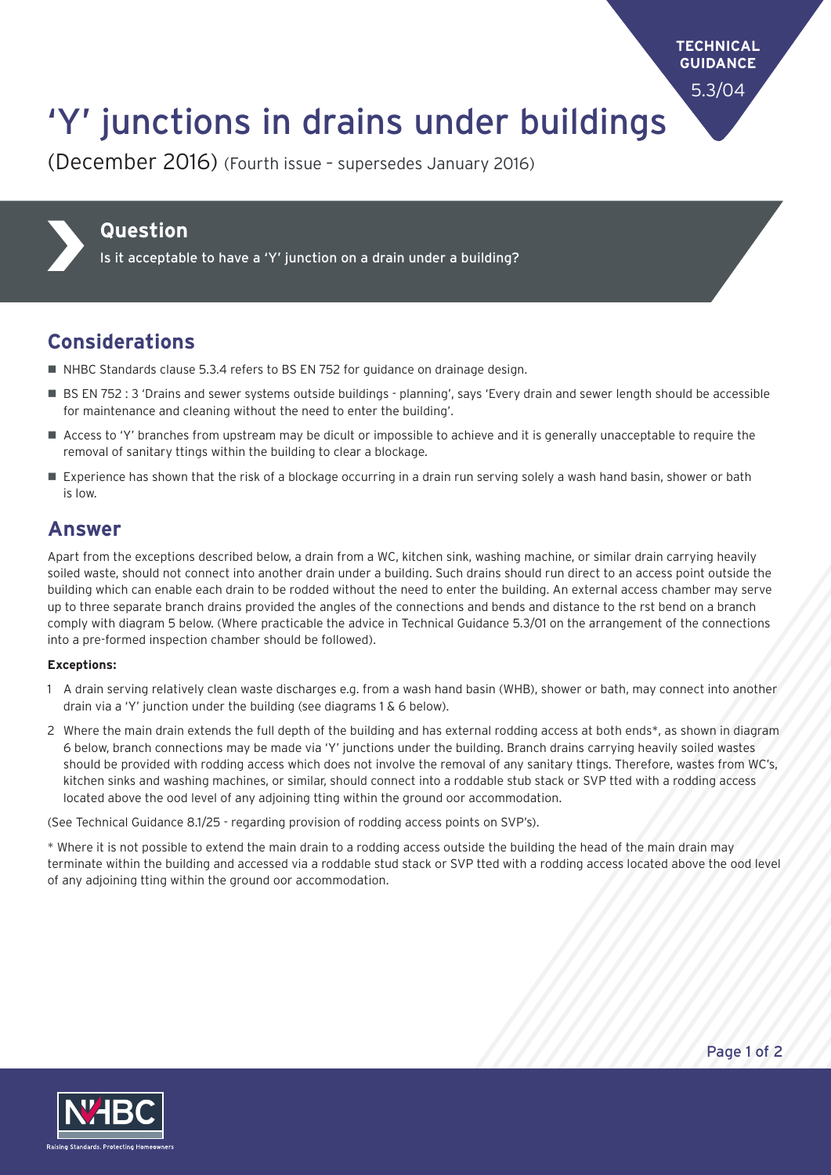**TECHNICAL GUIDANCE**

5.3/04

# 'Y' junctions in drains under buildings

(December 2016) (Fourth issue – supersedes January 2016)



#### **Question**

Is it acceptable to have a 'Y' junction on a drain under a building?

### **Considerations**

- $\blacksquare$  NHBC Standards clause 5.3.4 refers to BS EN 752 for guidance on drainage design.
- BS EN 752 : 3 'Drains and sewer systems outside buildings planning', says 'Every drain and sewer length should be accessible for maintenance and cleaning without the need to enter the building'.
- Access to 'Y' branches from upstream may be dicult or impossible to achieve and it is generally unacceptable to require the removal of sanitary ttings within the building to clear a blockage.
- Experience has shown that the risk of a blockage occurring in a drain run serving solely a wash hand basin, shower or bath is low.

#### **Answer**

Apart from the exceptions described below, a drain from a WC, kitchen sink, washing machine, or similar drain carrying heavily soiled waste, should not connect into another drain under a building. Such drains should run direct to an access point outside the building which can enable each drain to be rodded without the need to enter the building. An external access chamber may serve up to three separate branch drains provided the angles of the connections and bends and distance to the rst bend on a branch comply with diagram 5 below. (Where practicable the advice in Technical Guidance 5.3/01 on the arrangement of the connections into a pre-formed inspection chamber should be followed).

#### **Exceptions:**

- 1 A drain serving relatively clean waste discharges e.g. from a wash hand basin (WHB), shower or bath, may connect into another drain via a 'Y' junction under the building (see diagrams 1  $\&$  6 below).
- 2 Where the main drain extends the full depth of the building and has external rodding access at both ends\*, as shown in diagram 6 below, branch connections may be made via 'Y' junctions under the building. Branch drains carrying heavily soiled wastes should be provided with rodding access which does not involve the removal of any sanitary ttings. Therefore, wastes from WC's, kitchen sinks and washing machines, or similar, should connect into a roddable stub stack or SVP tted with a rodding access located above the ood level of any adjoining tting within the ground oor accommodation.

(See Technical Guidance 8.1/25 - regarding provision of rodding access points on SVP's).

\* Where it is not possible to extend the main drain to a rodding access outside the building the head of the main drain may terminate within the building and accessed via a roddable stud stack or SVP tted with a rodding access located above the ood level of any adjoining tting within the ground oor accommodation.